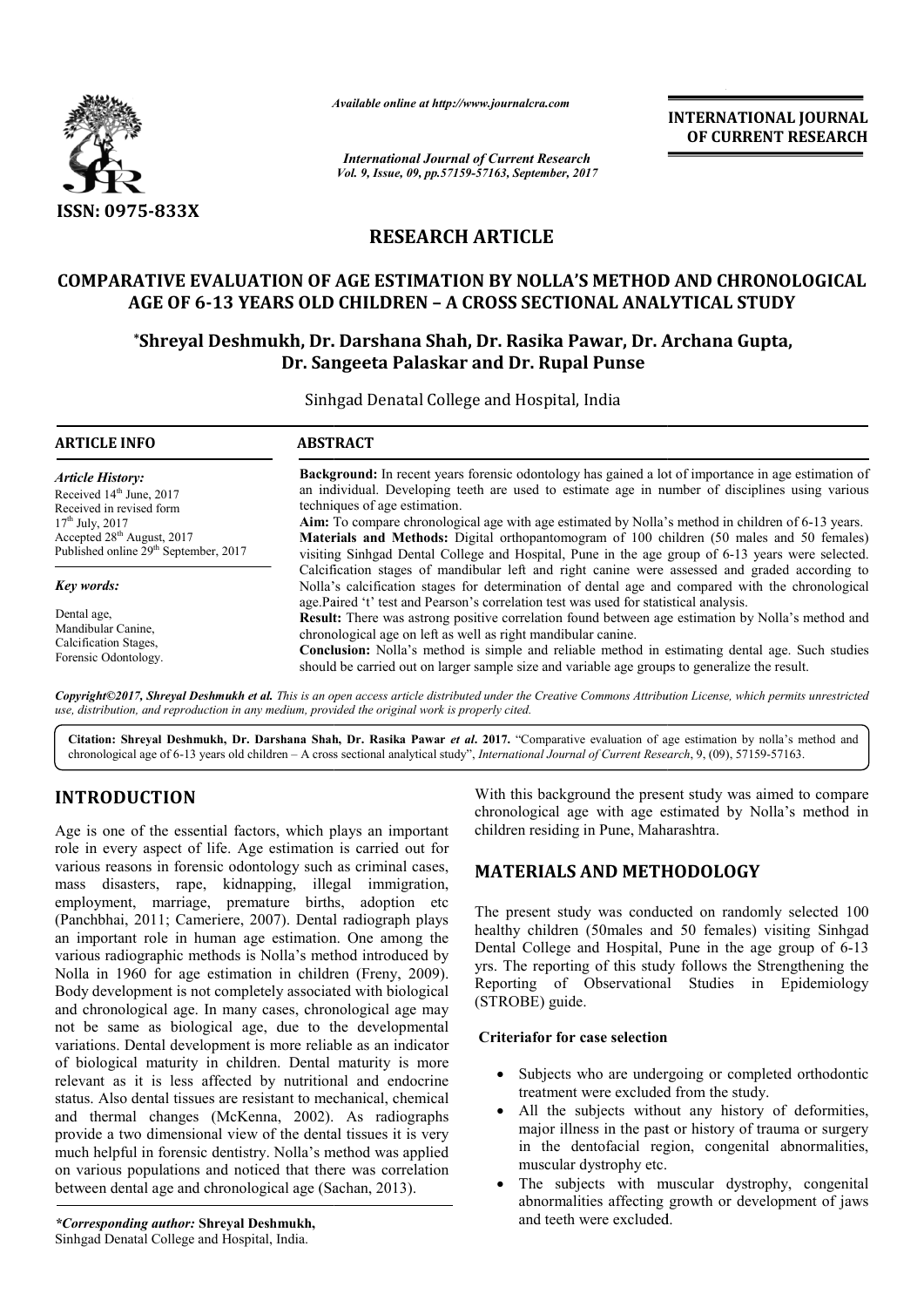

*Available online at http://www.journal http://www.journalcra.com*

*International Journal of Current Research Vol. 9, Issue, 09, pp.57159-57163, September, 2017* **INTERNATIONAL JOURNAL OF CURRENT RESEARCH** 

# **RESEARCH ARTICLE**

## **COMPARATIVE EVALUATION OF AGE ESTIMATION BY NOLLA'S METHOD AND CHRONOLOGICAL AGE OF 6-13 YEARS OLD CHILDREN 13 – A CROSS SECTIONAL ANALYTICAL STUDY**

## **\*Shreyal Deshmukh, Dr. Darshana Shah, Dr. Rasika Pawar, Dr. Archana Gupta, Shreyal Darshana Shah, Dr. Sangeeta Palaskar and Dr. Rupal Punse**

Sinhgad Denatal College and Hospital, India

| <b>ARTICLE INFO</b>                               | <b>ABSTRACT</b>                                                                                                                                                                                                                                                                             |  |  |
|---------------------------------------------------|---------------------------------------------------------------------------------------------------------------------------------------------------------------------------------------------------------------------------------------------------------------------------------------------|--|--|
| Article History:                                  | <b>Background:</b> In recent years forensic odontology has gained a lot of importance in age estimation of                                                                                                                                                                                  |  |  |
| Received 14 <sup>th</sup> June, 2017              | an individual. Developing teeth are used to estimate age in number of disciplines using various                                                                                                                                                                                             |  |  |
| Received in revised form                          | techniques of age estimation.                                                                                                                                                                                                                                                               |  |  |
| $17th$ July, 2017                                 | Aim: To compare chronological age with age estimated by Nolla's method in children of 6-13 years.                                                                                                                                                                                           |  |  |
| Accepted 28 <sup>th</sup> August, 2017            | Materials and Methods: Digital orthopantomogram of 100 children (50 males and 50 females)                                                                                                                                                                                                   |  |  |
| Published online 29 <sup>th</sup> September, 2017 | visiting Sinhgad Dental College and Hospital, Pune in the age group of 6-13 years were selected.                                                                                                                                                                                            |  |  |
| <b>Key words:</b>                                 | Calcification stages of mandibular left and right canine were assessed and graded according to<br>Nolla's calcification stages for determination of dental age and compared with the chronological<br>age.Paired 't' test and Pearson's correlation test was used for statistical analysis. |  |  |
| Dental age.                                       | <b>Result:</b> There was astrong positive correlation found between age estimation by Nolla's method and                                                                                                                                                                                    |  |  |
| Mandibular Canine.                                | chronological age on left as well as right mandibular canine.                                                                                                                                                                                                                               |  |  |
| Calcification Stages,                             | <b>Conclusion:</b> Nolla's method is simple and reliable method in estimating dental age. Such studies                                                                                                                                                                                      |  |  |
| Forensic Odontology.                              | should be carried out on larger sample size and variable age groups to generalize the result.                                                                                                                                                                                               |  |  |

*Copyright©2017, Shreyal Deshmukh et al. This is an open access article distributed under the Creative Commons Att Attribution License, which ribution License, permits unrestricted use, distribution, and reproduction in any medium, provided the original work is properly cited.*

Citation: Shreyal Deshmukh, Dr. Darshana Shah, Dr. Rasika Pawar *et al.* 2017. "Comparative evaluation of age estimation by nolla's method and chronological age of 6-13 years old children - A cross sectional analytical study", *International Journal of Current Research*, 9, (09), 57159-57163.

# **INTRODUCTION**

Age is one of the essential factors, which plays an important role in every aspect of life. Age estimation is carried out for various reasons in forensic odontology such as criminal cases, mass disasters, rape, kidnapping, illegal immigration, employment, marriage, premature births, adoption etc (Panchbhai, 2011; Cameriere, 2007). Dental radiograph plays an important role in human age estimation. One among the various radiographic methods is Nolla's method introduced by Nolla in 1960 for age estimation in children (Freny, 2009). Body development is not completely associated with biological and chronological age. In many cases, chronological age may not be same as biological age, due to the developmental variations. Dental development is more reliable as an indicator of biological maturity in children. Dental maturity is more relevant as it is less affected by nutritional and endocrine status. Also dental tissues are resistant to mechanical, chemical and thermal changes (McKenna, 2002). provide a two dimensional view of the dental tissues it is very much helpful in forensic dentistry. Nolla's method was applied on various populations and noticed that there was correlation between dental age and chronological age (Sachan, 2013). ompletely associated with biological<br>many cases, chronological age may<br>al age, due to the developmental<br>ment is more reliable as an indicator<br>children. Dental maturity is more<br>ected by nutritional and endocrine<br>are resista With this background the present study was aimed to compare With this background the present study was aimed to compare chronological age with age estimated by Nolla's method in children residing in Pune, Maharashtra.

# **MATERIALS AND METHODOLOGY**

The present study was conducted on randomly selected 100 healthy children (50males and 50 females) visiting Sinhgad healthy children (50males and 50 females) visiting Sinhgad<br>Dental College and Hospital, Pune in the age group of 6-13 yrs. The reporting of this study follows the Strengthening the Reporting of Observational Studies in Epidemiology (STROBE) guide. The reporting of this study follows the Strengthening the<br>priting of Observational Studies in Epidemiology<br>ROBE) guide.<br>**Example:** Subjects who are undergoing or completed orthodontic

## **Criteriafor for case selection**

- Subjects who are undergoing or completed orthodontic treatment were excluded from the study.
- All the subjects without any history of deformities, major illness in the past or history of trauma or surgery in the dentofacial region, congenital abnormalities, muscular dystrophy etc. treatment were excluded from the study.<br>All the subjects without any history of deformities,<br>major illness in the past or history of trauma or surgery<br>in the dentofacial region, congenital abnormalities,<br>muscular dystrophy
- The subjects with muscular dystrophy, congenital abnormalities affecting growth or development of jaws and teeth were excluded.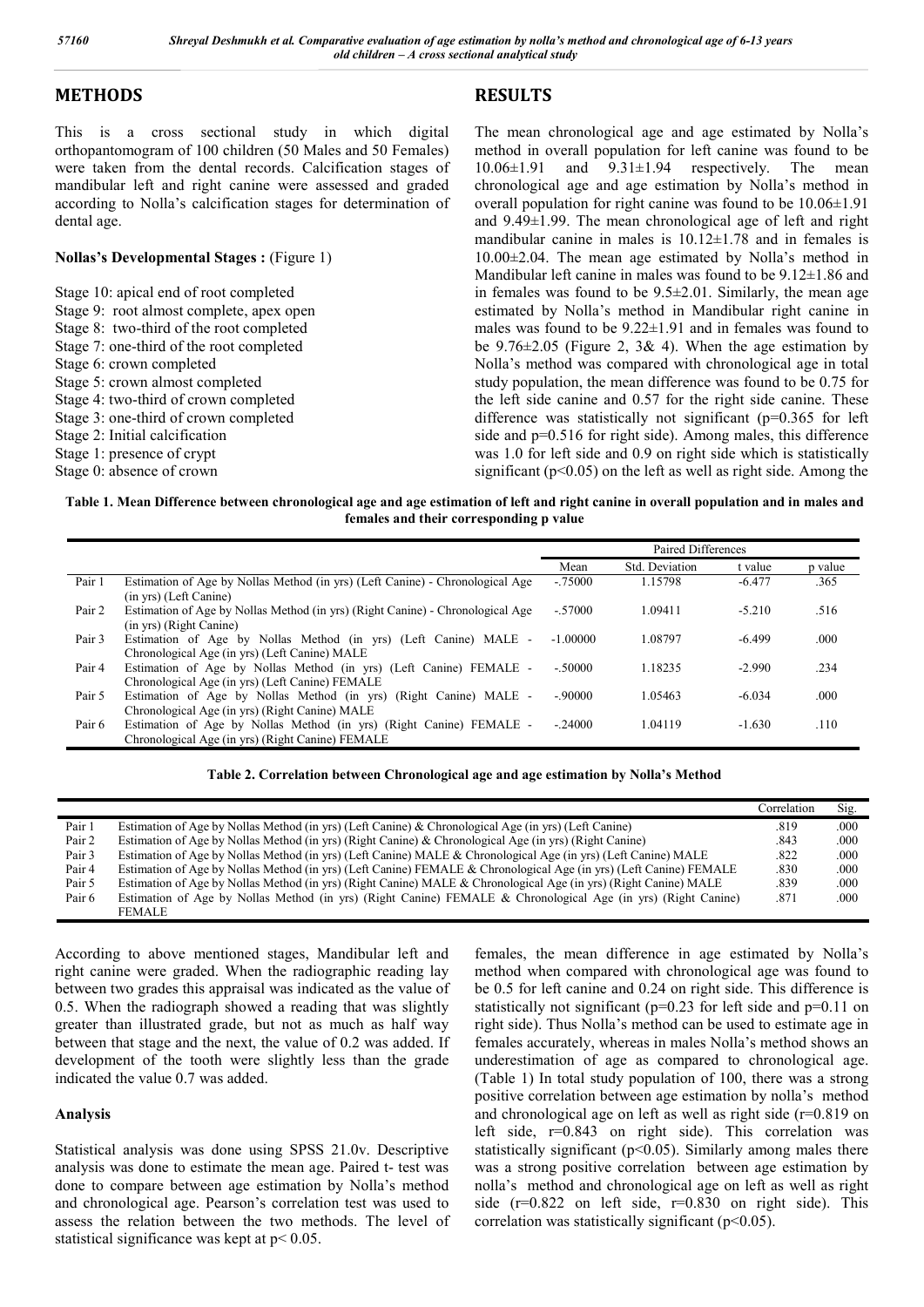**RESULTS**

## **METHODS**

This is a cross sectional study in which digital orthopantomogram of 100 children (50 Males and 50 Females) were taken from the dental records. Calcification stages of mandibular left and right canine were assessed and graded according to Nolla's calcification stages for determination of dental age.

#### **Nollas's Developmental Stages :** (Figure 1)

Stage 10: apical end of root completed Stage 9: root almost complete, apex open

- Stage 8: two-third of the root completed
- Stage 7: one-third of the root completed
- Stage 6: crown completed
- Stage 5: crown almost completed
- Stage 4: two-third of crown completed
- Stage 3: one-third of crown completed
- Stage 2: Initial calcification
- Stage 1: presence of crypt
- Stage 0: absence of crown

The mean chronological age and age estimated by Nolla's method in overall population for left canine was found to be  $10.06\pm1.91$  and  $9.31\pm1.94$  respectively. The mean chronological age and age estimation by Nolla's method in overall population for right canine was found to be 10.06±1.91 and 9.49±1.99. The mean chronological age of left and right mandibular canine in males is  $10.12 \pm 1.78$  and in females is 10.00±2.04. The mean age estimated by Nolla's method in Mandibular left canine in males was found to be  $9.12 \pm 1.86$  and in females was found to be  $9.5\pm2.01$ . Similarly, the mean age estimated by Nolla's method in Mandibular right canine in males was found to be 9.22±1.91 and in females was found to be  $9.76 \pm 2.05$  (Figure 2, 3& 4). When the age estimation by Nolla's method was compared with chronological age in total study population, the mean difference was found to be 0.75 for the left side canine and 0.57 for the right side canine. These difference was statistically not significant (p=0.365 for left side and  $p=0.516$  for right side). Among males, this difference was 1.0 for left side and 0.9 on right side which is statistically significant ( $p<0.05$ ) on the left as well as right side. Among the

**Table 1. Mean Difference between chronological age and age estimation of left and right canine in overall population and in males and females and their corresponding p value**

|        |                                                                                | Paired Differences |                |          |         |
|--------|--------------------------------------------------------------------------------|--------------------|----------------|----------|---------|
|        |                                                                                | Mean               | Std. Deviation | t value  | p value |
| Pair 1 | Estimation of Age by Nollas Method (in yrs) (Left Canine) - Chronological Age  | $-.75000$          | 1.15798        | $-6.477$ | .365    |
|        | (in yrs) (Left Canine)                                                         |                    |                |          |         |
| Pair 2 | Estimation of Age by Nollas Method (in yrs) (Right Canine) - Chronological Age | $-57000$           | 1.09411        | $-5.210$ | .516    |
|        | (in yrs) (Right Canine)                                                        |                    |                |          |         |
| Pair 3 | Estimation of Age by Nollas Method (in yrs) (Left Canine) MALE -               | $-1.00000$         | 1.08797        | $-6.499$ | .000    |
|        | Chronological Age (in yrs) (Left Canine) MALE                                  |                    |                |          |         |
| Pair 4 | Estimation of Age by Nollas Method (in yrs) (Left Canine) FEMALE -             | $-50000$           | 1.18235        | $-2.990$ | .234    |
|        | Chronological Age (in yrs) (Left Canine) FEMALE                                |                    |                |          |         |
| Pair 5 | Estimation of Age by Nollas Method (in yrs) (Right Canine) MALE -              | $-90000$           | 1.05463        | $-6.034$ | .000    |
|        | Chronological Age (in yrs) (Right Canine) MALE                                 |                    |                |          |         |
| Pair 6 | Estimation of Age by Nollas Method (in yrs) (Right Canine) FEMALE -            | $-24000$           | 1.04119        | $-1.630$ | .110    |
|        | Chronological Age (in yrs) (Right Canine) FEMALE                               |                    |                |          |         |

**Table 2. Correlation between Chronological age and age estimation by Nolla's Method**

|        |                                                                                                                    | Correlation | Sig. |
|--------|--------------------------------------------------------------------------------------------------------------------|-------------|------|
| Pair 1 | Estimation of Age by Nollas Method (in yrs) (Left Canine) & Chronological Age (in yrs) (Left Canine)               | .819        | .000 |
| Pair 2 | Estimation of Age by Nollas Method (in yrs) (Right Canine) & Chronological Age (in yrs) (Right Canine)             | .843        | .000 |
| Pair 3 | Estimation of Age by Nollas Method (in yrs) (Left Canine) MALE & Chronological Age (in yrs) (Left Canine) MALE     | .822        | .000 |
| Pair 4 | Estimation of Age by Nollas Method (in yrs) (Left Canine) FEMALE & Chronological Age (in yrs) (Left Canine) FEMALE | .830        | .000 |
| Pair 5 | Estimation of Age by Nollas Method (in yrs) (Right Canine) MALE & Chronological Age (in yrs) (Right Canine) MALE   | .839        | .000 |
| Pair 6 | Estimation of Age by Nollas Method (in yrs) (Right Canine) FEMALE & Chronological Age (in yrs) (Right Canine)      | .871        | .000 |
|        | <b>FEMALE</b>                                                                                                      |             |      |

According to above mentioned stages, Mandibular left and right canine were graded. When the radiographic reading lay between two grades this appraisal was indicated as the value of 0.5. When the radiograph showed a reading that was slightly greater than illustrated grade, but not as much as half way between that stage and the next, the value of 0.2 was added. If development of the tooth were slightly less than the grade indicated the value 0.7 was added.

## **Analysis**

Statistical analysis was done using SPSS 21.0v. Descriptive analysis was done to estimate the mean age. Paired t- test was done to compare between age estimation by Nolla's method and chronological age. Pearson's correlation test was used to assess the relation between the two methods. The level of statistical significance was kept at p< 0.05.

females, the mean difference in age estimated by Nolla's method when compared with chronological age was found to be 0.5 for left canine and 0.24 on right side. This difference is statistically not significant (p=0.23 for left side and p=0.11 on right side). Thus Nolla's method can be used to estimate age in females accurately, whereas in males Nolla's method shows an underestimation of age as compared to chronological age. (Table 1) In total study population of 100, there was a strong positive correlation between age estimation by nolla's method and chronological age on left as well as right side (r=0.819 on left side, r=0.843 on right side). This correlation was statistically significant (p<0.05). Similarly among males there was a strong positive correlation between age estimation by nolla's method and chronological age on left as well as right side  $(r=0.822$  on left side,  $r=0.830$  on right side). This correlation was statistically significant  $(p<0.05)$ .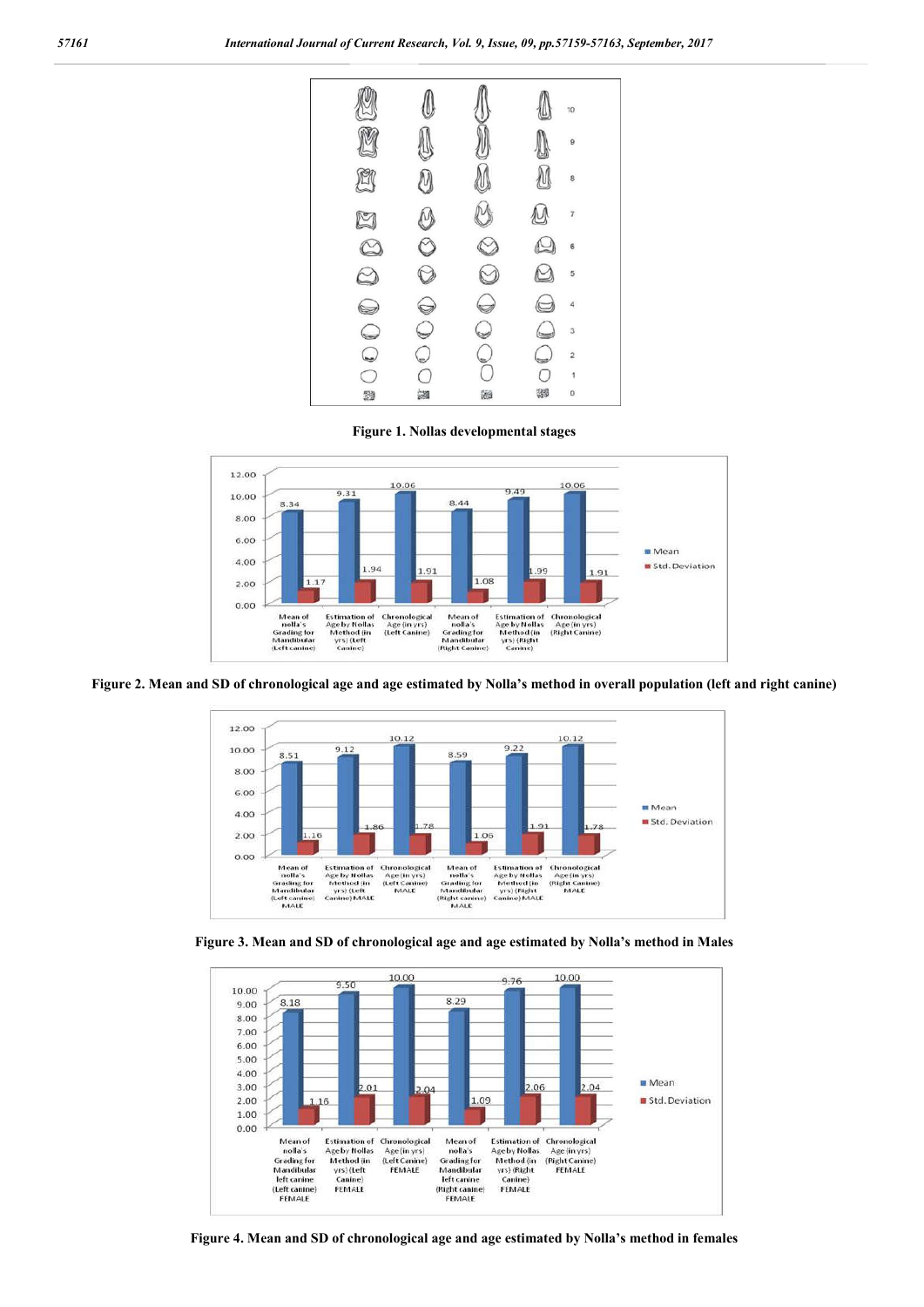

**Figure 1. Nollas developmental stages**



**Figure 2. Mean and SD of chronological age and age estimated by Nolla's method in overall population (left and right canine)**



**Figure 3. Mean and SD of chronological age and age estimated by Nolla's method in Males**



**Figure 4. Mean and SD of chronological age and age estimated by Nolla's method in females**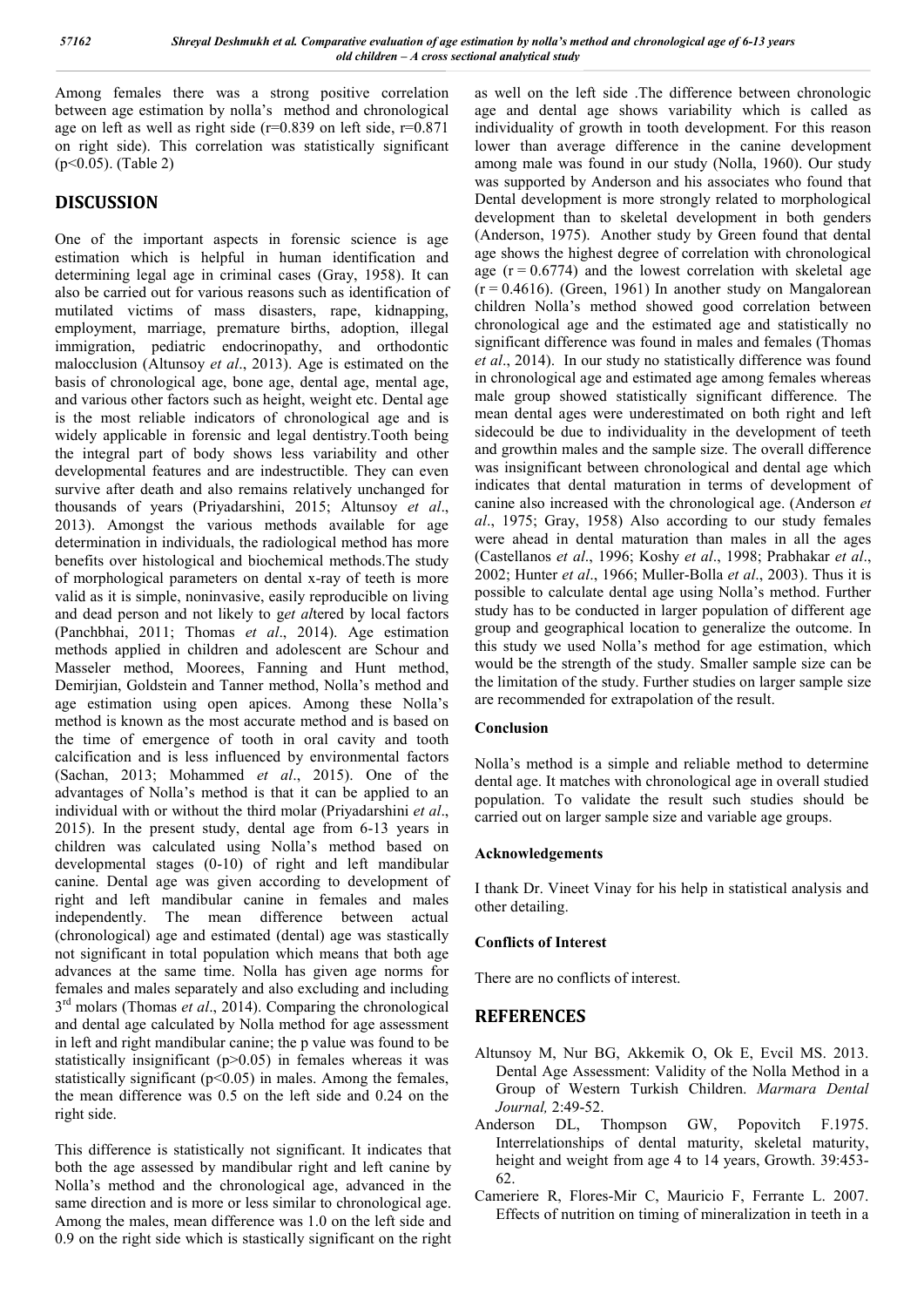Among females there was a strong positive correlation between age estimation by nolla's method and chronological age on left as well as right side ( $r=0.839$  on left side,  $r=0.871$ ) on right side). This correlation was statistically significant (p<0.05). (Table 2)

## **DISCUSSION**

One of the important aspects in forensic science is age estimation which is helpful in human identification and determining legal age in criminal cases (Gray, 1958). It can also be carried out for various reasons such as identification of mutilated victims of mass disasters, rape, kidnapping, employment, marriage, premature births, adoption, illegal immigration, pediatric endocrinopathy, and orthodontic malocclusion (Altunsoy *et al*., 2013). Age is estimated on the basis of chronological age, bone age, dental age, mental age, and various other factors such as height, weight etc. Dental age is the most reliable indicators of chronological age and is widely applicable in forensic and legal dentistry.Tooth being the integral part of body shows less variability and other developmental features and are indestructible. They can even survive after death and also remains relatively unchanged for thousands of years (Priyadarshini, 2015; Altunsoy *et al*., 2013). Amongst the various methods available for age determination in individuals, the radiological method has more benefits over histological and biochemical methods.The study of morphological parameters on dental x-ray of teeth is more valid as it is simple, noninvasive, easily reproducible on living and dead person and not likely to g*et al*tered by local factors (Panchbhai, 2011; Thomas *et al*., 2014). Age estimation methods applied in children and adolescent are Schour and Masseler method, Moorees, Fanning and Hunt method, Demirjian, Goldstein and Tanner method, Nolla's method and age estimation using open apices. Among these Nolla's method is known as the most accurate method and is based on the time of emergence of tooth in oral cavity and tooth calcification and is less influenced by environmental factors (Sachan, 2013; Mohammed *et al*., 2015). One of the advantages of Nolla's method is that it can be applied to an individual with or without the third molar (Priyadarshini *et al*., 2015). In the present study, dental age from 6-13 years in children was calculated using Nolla's method based on developmental stages (0-10) of right and left mandibular canine. Dental age was given according to development of right and left mandibular canine in females and males independently. The mean difference between actual (chronological) age and estimated (dental) age was stastically not significant in total population which means that both age advances at the same time. Nolla has given age norms for females and males separately and also excluding and including 3rd molars (Thomas *et al*., 2014). Comparing the chronological and dental age calculated by Nolla method for age assessment in left and right mandibular canine; the p value was found to be statistically insignificant (p>0.05) in females whereas it was statistically significant  $(p<0.05)$  in males. Among the females, the mean difference was 0.5 on the left side and 0.24 on the right side.

This difference is statistically not significant. It indicates that both the age assessed by mandibular right and left canine by Nolla's method and the chronological age, advanced in the same direction and is more or less similar to chronological age. Among the males, mean difference was 1.0 on the left side and 0.9 on the right side which is stastically significant on the right

as well on the left side .The difference between chronologic age and dental age shows variability which is called as individuality of growth in tooth development. For this reason lower than average difference in the canine development among male was found in our study (Nolla, 1960). Our study was supported by Anderson and his associates who found that Dental development is more strongly related to morphological development than to skeletal development in both genders (Anderson, 1975). Another study by Green found that dental age shows the highest degree of correlation with chronological age  $(r = 0.6774)$  and the lowest correlation with skeletal age  $(r = 0.4616)$ . (Green, 1961) In another study on Mangalorean children Nolla's method showed good correlation between chronological age and the estimated age and statistically no significant difference was found in males and females (Thomas *et al*., 2014). In our study no statistically difference was found in chronological age and estimated age among females whereas male group showed statistically significant difference. The mean dental ages were underestimated on both right and left sidecould be due to individuality in the development of teeth and growthin males and the sample size. The overall difference was insignificant between chronological and dental age which indicates that dental maturation in terms of development of canine also increased with the chronological age. (Anderson *et al*., 1975; Gray, 1958) Also according to our study females were ahead in dental maturation than males in all the ages (Castellanos *et al*., 1996; Koshy *et al*., 1998; Prabhakar *et al*., 2002; Hunter *et al*., 1966; Muller-Bolla *et al*., 2003). Thus it is possible to calculate dental age using Nolla's method. Further study has to be conducted in larger population of different age group and geographical location to generalize the outcome. In this study we used Nolla's method for age estimation, which would be the strength of the study. Smaller sample size can be the limitation of the study. Further studies on larger sample size are recommended for extrapolation of the result.

#### **Conclusion**

Nolla's method is a simple and reliable method to determine dental age. It matches with chronological age in overall studied population. To validate the result such studies should be carried out on larger sample size and variable age groups.

#### **Acknowledgements**

I thank Dr. Vineet Vinay for his help in statistical analysis and other detailing.

#### **Conflicts of Interest**

There are no conflicts of interest.

## **REFERENCES**

- Altunsoy M, Nur BG, Akkemik O, Ok E, Evcil MS. 2013. Dental Age Assessment: Validity of the Nolla Method in a Group of Western Turkish Children. *Marmara Dental Journal,* 2:49-52.
- Anderson DL, Thompson GW, Popovitch F.1975. Interrelationships of dental maturity, skeletal maturity, height and weight from age 4 to 14 years, Growth. 39:453- 62.
- Cameriere R, Flores-Mir C, Mauricio F, Ferrante L. 2007. Effects of nutrition on timing of mineralization in teeth in a